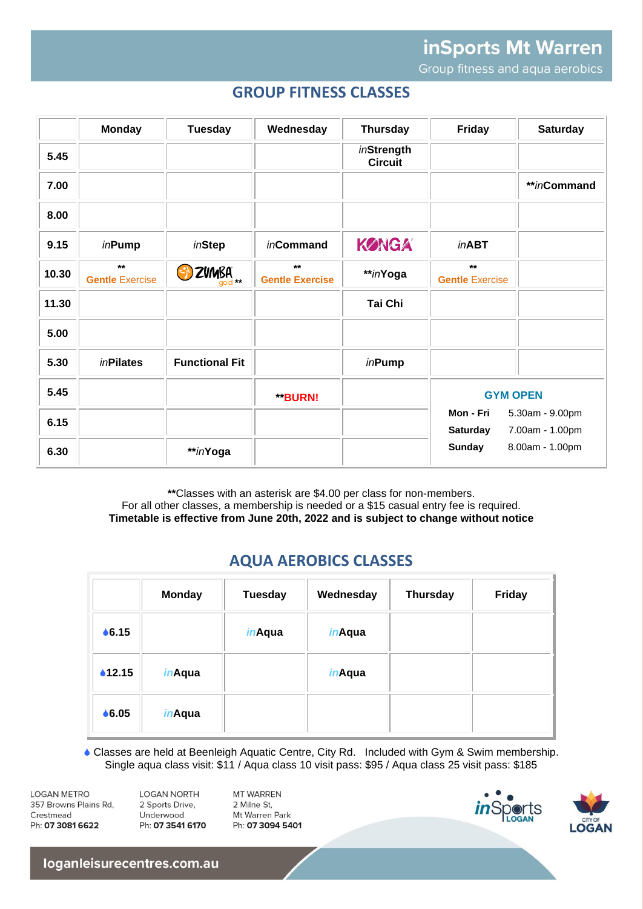inSports Mt Warren Group fitness and aqua aerobics

# **GROUP FITNESS CLASSES**

|       | <b>Monday</b>                   | <b>Tuesday</b>        | Wednesday                      | <b>Thursday</b>              | Friday                          | <b>Saturday</b>                    |
|-------|---------------------------------|-----------------------|--------------------------------|------------------------------|---------------------------------|------------------------------------|
| 5.45  |                                 |                       |                                | inStrength<br><b>Circuit</b> |                                 |                                    |
| 7.00  |                                 |                       |                                |                              |                                 | **inCommand                        |
| 8.00  |                                 |                       |                                |                              |                                 |                                    |
| 9.15  | inPump                          | inStep                | <i>in</i> Command              | KØNGA                        | <i>in</i> ABT                   |                                    |
| 10.30 | $***$<br><b>Gentle Exercise</b> | B ZVMBA               | $**$<br><b>Gentle Exercise</b> | **inYoga                     | $***$<br><b>Gentle Exercise</b> |                                    |
| 11.30 |                                 |                       |                                | Tai Chi                      |                                 |                                    |
| 5.00  |                                 |                       |                                |                              |                                 |                                    |
| 5.30  | <i>in</i> Pilates               | <b>Functional Fit</b> |                                | <i>in</i> Pump               |                                 |                                    |
| 5.45  |                                 |                       | **BURN!                        |                              | <b>GYM OPEN</b>                 |                                    |
| 6.15  |                                 |                       |                                |                              | Mon - Fri<br><b>Saturday</b>    | 5.30am - 9.00pm<br>7.00am - 1.00pm |
| 6.30  |                                 | **inYoga              |                                |                              | <b>Sunday</b>                   | 8.00am - 1.00pm                    |

\*\*Classes with an asterisk are \$4.00 per class for non-members. For all other classes, a membership is needed or a \$15 casual entry fee is required. Timetable is effective from June 20th, 2022 and is subject to change without notice

# **AQUA AEROBICS CLASSES**

|        | <b>Monday</b>  | <b>Tuesday</b> | Wednesday      | <b>Thursday</b> | <b>Friday</b> |
|--------|----------------|----------------|----------------|-----------------|---------------|
| • 6.15 |                | <i>in</i> Aqua | <i>in</i> Aqua |                 |               |
| •12.15 | <i>in</i> Aqua |                | <i>in</i> Aqua |                 |               |
| • 6.05 | <i>in</i> Aqua |                |                |                 |               |

 Classes are held at Beenleigh Aquatic Centre, City Rd. Included with Gym & Swim membership. Single aqua class visit: \$11 / Aqua class 10 visit pass: \$95 / Aqua class 25 visit pass: \$185

**LOGAN METRO** 357 Browns Plains Rd, Crestmead Ph: 07 3081 6622

**LOGAN NORTH** 2 Sports Drive, Underwood Ph: 07 3541 6170 MT WARREN 2 Milne St Mt Warren Park Ph: 07 3094 5401





loganleisurecentres.com.au